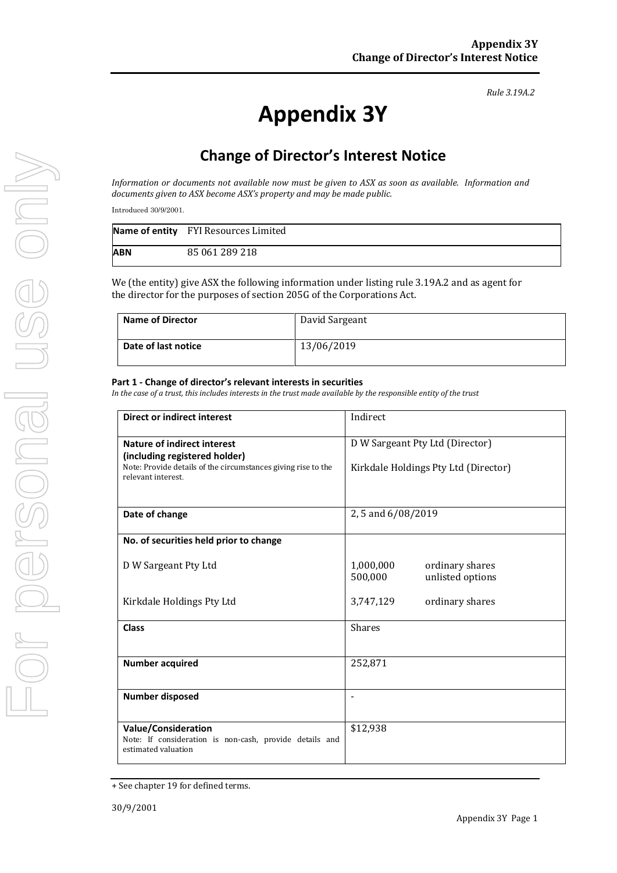#### *Rule 3.19A.2*

# **Appendix 3Y**

# **Change of Director's Interest Notice**

*Information or documents not available now must be given to ASX as soon as available. Information and documents given to ASX become ASX's property and may be made public.*

Introduced 30/9/2001.

|            | <b>Name of entity</b> FYI Resources Limited |
|------------|---------------------------------------------|
| <b>ABN</b> | 85 061 289 218                              |

We (the entity) give ASX the following information under listing rule 3.19A.2 and as agent for the director for the purposes of section 205G of the Corporations Act.

| <b>Name of Director</b> | David Sargeant |
|-------------------------|----------------|
| Date of last notice     | 13/06/2019     |

#### **Part 1 - Change of director's relevant interests in securities**

*In the case of a trust, this includes interests in the trust made available by the responsible entity of the trust*

| <b>Direct or indirect interest</b>                                                                           | Indirect                                                    |  |
|--------------------------------------------------------------------------------------------------------------|-------------------------------------------------------------|--|
| <b>Nature of indirect interest</b><br>(including registered holder)                                          | D W Sargeant Pty Ltd (Director)                             |  |
| Note: Provide details of the circumstances giving rise to the<br>relevant interest.                          | Kirkdale Holdings Pty Ltd (Director)                        |  |
| Date of change                                                                                               | 2, 5 and 6/08/2019                                          |  |
| No. of securities held prior to change                                                                       |                                                             |  |
| D W Sargeant Pty Ltd                                                                                         | 1,000,000<br>ordinary shares<br>500,000<br>unlisted options |  |
| Kirkdale Holdings Pty Ltd                                                                                    | 3,747,129<br>ordinary shares                                |  |
| <b>Class</b>                                                                                                 | <b>Shares</b>                                               |  |
| <b>Number acquired</b>                                                                                       | 252,871                                                     |  |
| Number disposed                                                                                              |                                                             |  |
| <b>Value/Consideration</b><br>Note: If consideration is non-cash, provide details and<br>estimated valuation | \$12,938                                                    |  |

<sup>+</sup> See chapter 19 for defined terms.